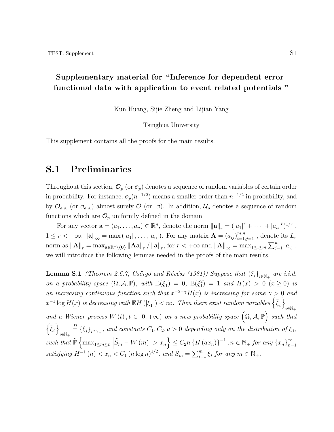### **Supplementary material for "Inference for dependent error functional data with application to event related potentials "**

Kun Huang, Sijie Zheng and Lijian Yang

Tsinghua University

This supplement contains all the proofs for the main results.

### **S.1 Preliminaries**

Throughout this section,  $\mathcal{O}_p$  (or  $\mathcal{O}_p$ ) denotes a sequence of random variables of certain order in probability. For instance,  $\mathcal{O}_p(n^{-1/2})$  means a smaller order than  $n^{-1/2}$  in probability, and by  $\mathcal{O}_{a.s.}$  (or  $\mathcal{O}_{a.s.}$ ) almost surely  $\mathcal{O}$  (or  $\mathcal{O}$ ). In addition,  $\mathcal{U}_p$  denotes a sequence of random functions which are  $\mathcal{O}_p$  uniformly defined in the domain.

For any vector  $\mathbf{a} = (a_1, \ldots, a_n) \in \mathbb{R}^n$ , denote the norm  $\|\mathbf{a}\|_r = (|a_1|^r + \cdots + |a_n|^r)^{1/r}$ ,  $1 \leq r < +\infty$ ,  $\|\mathbf{a}\|_{\infty} = \max(|a_1|, \ldots, |a_n|)$ . For any matrix  $\mathbf{A} = (a_{ij})_{i=1,j=1}^{m,n}$ , denote its  $L_r$ norm as  $||A||_r = \max_{\mathbf{a} \in \mathbb{R}^n \setminus \{\mathbf{0}\}} ||A\mathbf{a}||_r / ||\mathbf{a}||_r$ , for  $r < +\infty$  and  $||A||_{\infty} = \max_{1 \le i \le m} \sum_{j=1}^n |a_{ij}|$ . we will introduce the following lemmas needed in the proofs of the main results.

<span id="page-0-0"></span>**Lemma S.1** *(Theorem 2.6.7, Csőrgő and Révész (1981)) Suppose that*  $\{\xi_i\}_{i \in \mathbb{N}_+}$  are *i.i.d. on a probability space*  $(\Omega, \mathcal{A}, \mathbb{P})$ *, with*  $\mathbb{E}(\xi_1) = 0$ ,  $\mathbb{E}(\xi_1^2)$  $\binom{2}{1}$  = 1 *and*  $H(x) > 0$  ( $x \ge 0$ ) *is an increasing continuous function such that*  $x^{-2-\gamma}H(x)$  *is increasing for some*  $\gamma > 0$  *and*  $x^{-1}$  log  $H(x)$  *is decreasing with*  $\mathbb{E}H(|\xi_1|) < \infty$ *. Then there exist random variables*  $\{\tilde{\xi}_i\}$ *i∈*N<sup>+</sup> *and a Wiener process*  $W(t)$ ,  $t \in [0, +\infty)$  *on a new probability space*  $(\tilde{\Omega}, \tilde{\mathcal{A}}, \tilde{\mathbb{P}})$  *such that*  $\{\tilde{\xi}_i\}$  $\frac{D}{i\in\mathbb{N}_+}$   $\stackrel{D}{=} \{\xi_i\}_{i\in\mathbb{N}_+}$ , and constants  $C_1, C_2, a > 0$  depending only on the distribution of  $\xi_1$ ,  $\int \text{Such that } \widetilde{\mathbb{P}}\left\{\max_{1\leq m\leq n}\right\}$  $\left| \tilde{S}_m - W(m) \right|$  $\langle x_n \rangle \leq C_2 n \left\{ H \left( a x_n \right) \right\}^{-1}, n \in \mathbb{N}_+ \text{ for any } \{x_n\}_{n=1}^{\infty}$ *n*=1 satisfying  $H^{-1}(n) < x_n < C_1 (n \log n)^{1/2}$ , and  $\tilde{S}_m = \sum_{i=1}^m \tilde{\xi}_i$  for any  $m \in \mathbb{N}_+$ .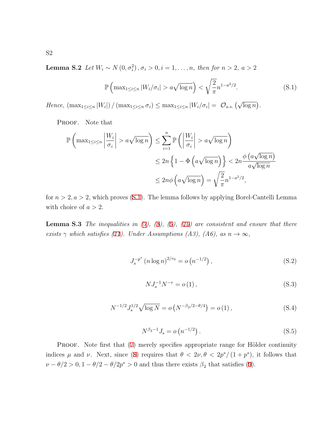**Lemma S.2** *Let*  $W_i \sim N(0, \sigma_i^2), \sigma_i > 0, i = 1, \ldots, n$ *, then for*  $n > 2$ *, a >* 2

<span id="page-1-0"></span>
$$
\mathbb{P}\left(\max_{1\leq i\leq n}|W_i/\sigma_i|>a\sqrt{\log n}\right)<\sqrt{\frac{2}{\pi}}n^{1-a^2/2}.\tag{S.1}
$$

Hence,  $\left(\max_{1 \leq i \leq n} |W_i|\right) / \left(\max_{1 \leq i \leq n} \sigma_i\right) \leq \max_{1 \leq i \leq n} |W_i/\sigma_i| = O_{a.s.}(\sqrt{\log n}).$ 

PROOF. Note that

$$
\mathbb{P}\left(\max_{1\leq i\leq n} \left|\frac{W_i}{\sigma_i}\right| > a\sqrt{\log n}\right) \leq \sum_{i=1}^n \mathbb{P}\left(\left|\frac{W_i}{\sigma_i}\right| > a\sqrt{\log n}\right)
$$
  

$$
\leq 2n \left\{1 - \Phi\left(a\sqrt{\log n}\right)\right\} < 2n \frac{\phi\left(a\sqrt{\log n}\right)}{a\sqrt{\log n}}
$$
  

$$
\leq 2n\phi\left(a\sqrt{\log n}\right) = \sqrt{\frac{2}{\pi}}n^{1-a^2/2},
$$

for  $n > 2, a > 2$ , which proves [\(S.1](#page-1-0)). The lemma follows by applying Borel-Cantelli Lemma with choice of  $a > 2$ .

<span id="page-1-4"></span>**Lemma S.3** *The inequalities in (7), (8), (9), (10) are consistent and ensure that there exists*  $\gamma$  *which satisfies* (11). Under Assumptions (A3), (A6), as  $n \to \infty$ ,

<span id="page-1-1"></span>
$$
J_s^{-p^*} (n \log n)^{2/r_0} = o\left(n^{-1/2}\right),\tag{S.2}
$$

<span id="page-1-2"></span>
$$
NJ_s^{-1}N^{-v} = o(1),
$$
\n(S.3)

<span id="page-1-5"></span>
$$
N^{-1/2} J_s^{1/2} \sqrt{\log N} = o\left(N^{-\beta_2/2 - \theta/4}\right) = o\left(1\right),\tag{S.4}
$$

<span id="page-1-3"></span>
$$
N^{\beta_2 - 1} J_s = o \left( n^{-1/2} \right). \tag{S.5}
$$

PROOF. Note first that (7) merely specifies appropriate range for Hölder continuity indices  $\mu$  and  $\nu$ . Next, since (8) requires that  $\theta < 2\nu, \theta < 2p^*/(1+p^*)$ , it follows that  $\nu - \theta/2 > 0$ , 1 *−*  $\theta/2 - \theta/2p^* > 0$  and thus there exists  $\beta_2$  that satisfies (9).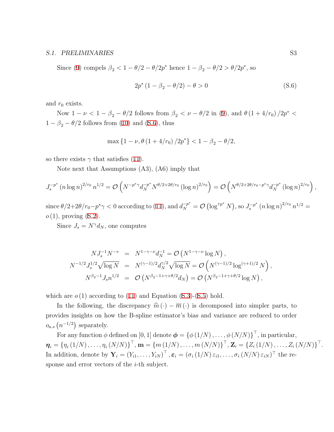Since (9) compels  $\beta_2 < 1 - \theta/2 - \theta/2p^*$  hence  $1 - \beta_2 - \theta/2 > \theta/2p^*$ , so

<span id="page-2-0"></span>
$$
2p^* (1 - \beta_2 - \theta/2) - \theta > 0 \tag{S.6}
$$

and  $r_0$  exists.

Now  $1 - \nu < 1 - \beta_2 - \theta/2$  follows from  $\beta_2 < \nu - \theta/2$  in (9), and  $\theta (1 + 4/r_0) / 2p^* < \theta$  $1 - \beta_2 - \theta/2$  follows from (10) and ([S.6](#page-2-0)), thus

$$
\max\left\{1-\nu, \theta\left(1+4/r_0\right)/2p^*\right\} < 1-\beta_2 - \theta/2,
$$

so there exists  $\gamma$  that satisfies (11).

Note next that Assumptions (A3), (A6) imply that

$$
J_s^{-p^*} (n \log n)^{2/r_0} n^{1/2} = \mathcal{O}\left(N^{-p^* \gamma} d_N^{-p^*} N^{\theta/2 + 2\theta/r_0} (\log n)^{2/r_0}\right) = \mathcal{O}\left(N^{\theta/2 + 2\theta/r_0 - p^* \gamma} d_N^{-p^*} (\log n)^{2/r_0}\right),
$$

since  $\theta/2+2\theta/r_0-p^*\gamma < 0$  according to (11), and  $d_N^{-p^*} = \mathcal{O}(\log^{rp^*} N)$ , so  $J_s^{-p^*} (n \log n)^{2/r_0} n^{1/2} =$ *o* (1), proving ([S.2](#page-1-1)).

Since  $J_s = N^{\gamma} d_N$ , one computes

$$
NJ_s^{-1}N^{-v} = N^{1-\gamma-\nu}d_N^{-1} = \mathcal{O}(N^{1-\gamma-\nu}\log N),
$$
  
\n
$$
N^{-1/2}J_s^{1/2}\sqrt{\log N} = N^{(\gamma-1)/2}d_N^{\gamma/2}\sqrt{\log N} = \mathcal{O}(N^{(\gamma-1)/2}\log^{(\gamma+1)/2}N),
$$
  
\n
$$
N^{\beta_2-1}J_s n^{1/2} = \mathcal{O}(N^{\beta_2-1+\gamma+\theta/2}d_N) = \mathcal{O}(N^{\beta_2-1+\gamma+\theta/2}\log N),
$$

which are  $o(1)$  according to  $(11)$  and Equation  $(S.3)-(S.5)$  $(S.3)-(S.5)$  $(S.3)-(S.5)$  $(S.3)-(S.5)$  $(S.3)-(S.5)$  hold.

In the following, the discrepancy  $\hat{m}(\cdot) - \overline{m}(\cdot)$  is decomposed into simpler parts, to provides insights on how the B-spline estimator's bias and variance are reduced to order  $o_{a.s}$   $(n^{-1/2})$  separately.

For any function  $\phi$  defined on [0, 1] denote  $\boldsymbol{\phi} = \{\phi(1/N), \ldots, \phi(N/N)\}^{\top}$ , in particular,  $\boldsymbol{\eta}_i = \{\eta_i(1/N), \ldots, \eta_i(N/N)\}^{\top}, \mathbf{m} = \{m(1/N), \ldots, m(N/N)\}^{\top}, \mathbf{Z}_i = \{Z_i(1/N), \ldots, Z_i(N/N)\}^{\top}.$ In addition, denote by  $\mathbf{Y}_i = (Y_{i1}, \dots, Y_{iN})^\top$ ,  $\varepsilon_i = (\sigma_i(1/N) \varepsilon_{i1}, \dots, \sigma_i(N/N) \varepsilon_{iN})^\top$  the response and error vectors of the *i*-th subject.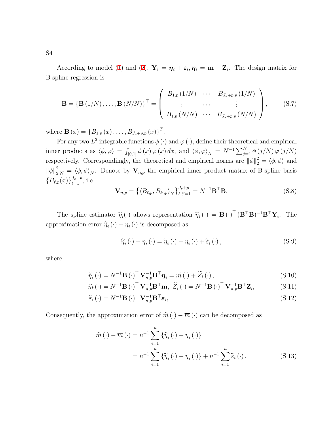According to model (1) and (2),  $Y_i = \eta_i + \varepsilon_i, \eta_i = \mathbf{m} + \mathbf{Z}_i$ . The design matrix for B-spline regression is

$$
\mathbf{B} = \{ \mathbf{B} (1/N), \dots, \mathbf{B} (N/N) \}^{T} = \begin{pmatrix} B_{1,p} (1/N) & \cdots & B_{J_{s}+p,p} (1/N) \\ \vdots & \cdots & \vdots \\ B_{1,p} (N/N) & \cdots & B_{J_{s}+p,p} (N/N) \end{pmatrix}, \quad (S.7)
$$

where  $\mathbf{B}(x) = \{B_{1,p}(x), \ldots, B_{J_s+p,p}(x)\}^T$ .

For any two  $L^2$  integrable functions  $\phi(\cdot)$  and  $\varphi(\cdot)$ , define their theoretical and empirical inner products as  $\langle \phi, \varphi \rangle = \int_{[0,1]} \phi(x) \varphi(x) dx$ , and  $\langle \phi, \varphi \rangle_N = N^{-1} \sum_{j=1}^N \phi(j/N) \varphi(j/N)$ respectively. Correspondingly, the theoretical and empirical norms are  $\|\phi\|_2^2 = \langle \phi, \phi \rangle$  and  $\|\phi\|_{2,N}^2 = \langle \phi, \phi \rangle_N$ . Denote by  $\mathbf{V}_{n,p}$  the empirical inner product matrix of B-spline basis  ${B_{\ell,p}(x)}_{\ell=1}^{J_s+p}$ , i.e.

$$
\mathbf{V}_{n,p} = \left\{ \left\langle B_{\ell,p}, B_{\ell',p} \right\rangle_N \right\}_{\ell,\ell'=1}^{J_s+p} = N^{-1} \mathbf{B}^\top \mathbf{B}.
$$
\n(S.8)

The spline estimator  $\hat{\eta}_i(\cdot)$  allows representation  $\hat{\eta}_i(\cdot) = \mathbf{B}(\cdot)^\top (\mathbf{B}^\top \mathbf{B})^{-1} \mathbf{B}^\top \mathbf{Y}_i$ . The approximation error  $\hat{\eta}_i(\cdot) - \eta_i(\cdot)$  is decomposed as

<span id="page-3-2"></span>
$$
\widehat{\eta}_{i}(\cdot) - \eta_{i}(\cdot) = \widetilde{\eta}_{i}(\cdot) - \eta_{i}(\cdot) + \widetilde{\varepsilon}_{i}(\cdot), \tag{S.9}
$$

where

$$
\widetilde{\eta}_{i}(\cdot) = N^{-1} \mathbf{B}(\cdot)^{\top} \mathbf{V}_{n,p}^{-1} \mathbf{B}^{\top} \boldsymbol{\eta}_{i} = \widetilde{m}(\cdot) + \widetilde{Z}_{i}(\cdot), \tag{S.10}
$$

$$
\widetilde{m}(\cdot) = N^{-1} \mathbf{B}(\cdot)^{\top} \mathbf{V}_{n,p}^{-1} \mathbf{B}^{\top} \mathbf{m}, \ \widetilde{Z}_i(\cdot) = N^{-1} \mathbf{B}(\cdot)^{\top} \mathbf{V}_{n,p}^{-1} \mathbf{B}^{\top} \mathbf{Z}_i, \tag{S.11}
$$

$$
\widetilde{\varepsilon}_{i}(\cdot) = N^{-1} \mathbf{B}(\cdot)^{\top} \mathbf{V}_{n,p}^{-1} \mathbf{B}^{\top} \varepsilon_{i}, \tag{S.12}
$$

<span id="page-3-1"></span>Consequently, the approximation error of  $\hat{m}(\cdot) - \overline{m}(\cdot)$  can be decomposed as

<span id="page-3-0"></span>
$$
\widehat{m}(\cdot) - \overline{m}(\cdot) = n^{-1} \sum_{i=1}^{n} \{ \widehat{\eta}_i(\cdot) - \eta_i(\cdot) \}
$$

$$
= n^{-1} \sum_{i=1}^{n} \{ \widetilde{\eta}_i(\cdot) - \eta_i(\cdot) \} + n^{-1} \sum_{i=1}^{n} \widetilde{\varepsilon}_i(\cdot). \tag{S.13}
$$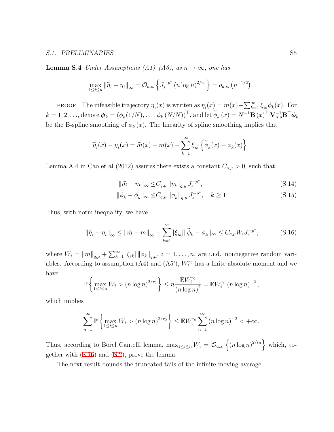**Lemma S.4** *Under Assumptions (A1)–(A6), as*  $n \rightarrow \infty$ *, one has* 

$$
\max_{1 \leq i \leq n} \|\widetilde{\eta}_i - \eta_i\|_{\infty} = O_{a.s.}\left\{J_s^{-p^*} (n \log n)^{2/r_0}\right\} = o_{a.s.}(n^{-1/2}).
$$

**PROOF** The infeasible trajectory  $\eta_i(x)$  is written as  $\eta_i(x) = m(x) + \sum_{k=1}^{\infty} \xi_{ik} \phi_k(x)$ . For  $k = 1, 2, ...,$  denote  $\boldsymbol{\phi}_k = (\phi_k(1/N), ..., \phi_k(N/N))^{\top}$ , and let  $\widetilde{\phi}_k(x) = N^{-1} \mathbf{B}(x)^{\top} \mathbf{V}_{n,p}^{-1} \mathbf{B}^{\top} \boldsymbol{\phi}_k$ be the B-spline smoothing of  $\phi_k(x)$ . The linearity of spline smoothing implies that

$$
\widetilde{\eta}_i(x) - \eta_i(x) = \widetilde{m}(x) - m(x) + \sum_{k=1}^{\infty} \xi_{ik} \left\{ \widetilde{\phi}_k(x) - \phi_k(x) \right\}.
$$

Lemma A.4 in Cao et al (2012) assures there exists a constant  $C_{q,\mu} > 0$ , such that

$$
\|\widetilde{m} - m\|_{\infty} \le C_{q,\mu} \|m\|_{q,\mu} J_s^{-p^*},
$$
\n(S.14)

$$
\|\widetilde{\phi}_k - \phi_k\|_{\infty} \le C_{q,\mu} \|\phi_k\|_{q,\mu} J_s^{-p^*}, \quad k \ge 1
$$
\n(S.15)

Thus, with norm inequality, we have

<span id="page-4-0"></span>
$$
\|\widetilde{\eta}_i - \eta_i\|_{\infty} \le \|\widetilde{m} - m\|_{\infty} + \sum_{k=1}^{\infty} |\xi_{ik}| \|\widetilde{\phi}_k - \phi_k\|_{\infty} \le C_{q,\mu} W_i J_s^{-p^*},
$$
\n(S.16)

where  $W_i = \|m\|_{q,\mu} + \sum_{k=1}^{\infty} |\xi_{ik}| \|\phi_k\|_{q,\mu}, i = 1,\ldots,n$ , are i.i.d. nonnegative random variables. According to assumption  $(A4)$  and  $(A5')$ ,  $W_i^{r_0}$  has a finite absolute moment and we have

$$
\mathbb{P}\left\{\max_{1\leq i\leq n} W_i > (n \log n)^{2/r_0}\right\} \leq n \frac{\mathbb{E} W_i^{r_0}}{(n \log n)^2} = \mathbb{E} W_i^{r_0} (n \log n)^{-2},
$$

which implies

$$
\sum_{n=1}^{\infty} \mathbb{P}\left\{\max_{1 \le i \le n} W_i > (n \log n)^{2/r_0}\right\} \le \mathbb{E} W_i^{r_0} \sum_{n=1}^{\infty} (n \log n)^{-2} < +\infty.
$$

Thus, according to Borel Cantelli lemma,  $\max_{1 \leq i \leq n} W_i = \mathcal{O}_{a.s.} \left\{ (n \log n)^{2/r_0} \right\}$  which, together with ([S.16](#page-4-0)) and [\(S.2\)](#page-1-1), prove the lemma.

<span id="page-4-1"></span>The next result bounds the truncated tails of the infinite moving average.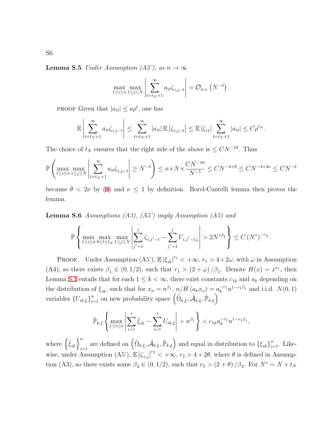**Lemma S.5** *Under Assumption (A5'), as*  $n \to \infty$ 

$$
\max_{1 \leq i \leq n} \max_{1 \leq j \leq N} \left| \sum_{t=t_N+1}^{\infty} a_{it} \zeta_{i,j-t} \right| = \mathcal{O}_{a.s.} \left( N^{-5} \right).
$$

PROOF Given that  $|a_{it}| \le a\rho^t$ , one has

$$
\mathbb{E}\left|\sum_{t=t_N+1}^{\infty}a_{it}\zeta_{i,j-t}\right| \leq \sum_{t=t_N+1}^{\infty}|a_{it}|\,\mathbb{E}\left|\zeta_{i,j-t}\right| \leq \mathbb{E}\left|\zeta_{i1}\right| \sum_{t=t_N+1}^{\infty}|a_{it}| \leq C\rho^{t_N}.
$$

The choice of  $t_N$  ensures that the right side of the above is  $\leq CN^{-10}$ . Thus

$$
\mathbb{P}\left(\max_{1 \le i \le n} \max_{1 \le j \le N} \left| \sum_{t=t_N+1}^{\infty} a_{it} \zeta_{i,j-t} \right| \ge N^{-5} \right) \le n \times N \times \frac{CN^{-10}}{N^{-5}} \le CN^{-4+\theta} \le CN^{-4+2\nu} \le CN^{-2}
$$

because  $\theta$  < 2*v* by (8) and  $\nu \leq 1$  by definition. Borel-Cantelli lemma then proves the lemma.

**Lemma S.6** *Assumptions (A3), (A5') imply Assumption (A5) and*

$$
\mathbb{P}\left\{\max_{1\leq i\leq n}\max_{0\leq t\leq t_N}\max_{1\leq j\leq N}\left|\sum_{j'=1}^j\zeta_{i,j'-t}-\sum_{j'=1}^jU_{i,j'-t,\zeta}\right|>2N^{*\beta_2}\right\}\leq C\left(N^*\right)^{-\gamma_2}.
$$

PROOF. Under Assumption  $(A5')$ ,  $\mathbb{E} |\xi_{ik}|^{r_1} < +\infty$ ,  $r_1 > 4+2\omega$ , with  $\omega$  in Assumption (A4), so there exists  $\beta_1 \in (0, 1/2)$ , such that  $r_1 > (2 + \omega) / \beta_1$ . Denote  $H(x) = x^{r_1}$ , then Lemma [S.1](#page-0-0) entails that for each  $1 \leq k < \infty$ , there exist constants  $c_{1k}$  and  $a_k$  depending on the distribution of  $\xi_{ik}$ , such that for  $x_n = n^{\beta_1}$ ,  $n/H (a_k x_n) = a_k^{-r_1} n^{1-r_1\beta_1}$  and i.i.d.  $N(0, 1)$ variables  $\{U_{ik,\xi}\}_{i=1}^n$  on new probability space  $(\tilde{\Omega}_{k,\xi}, \tilde{\mathcal{A}}_{k,\xi}, \tilde{\mathbb{P}}_{k,\xi})$ 

$$
\widetilde{\mathbb{P}}_{k,\xi}\left\{\max_{1\leq t\leq n}\left|\sum_{i=1}^t\widetilde{\xi}_{ik}-\sum_{i=1}^tU_{ik,\xi}\right|>n^{\beta_1}\right\}
$$

where  $\left\{ \tilde{\xi}_{ik} \right\}_{i=1}^n$  are defined on  $\left( \tilde{\Omega}_{k,\xi}, \tilde{\mathcal{A}}_{k,\xi}, \tilde{\mathbb{P}}_{k,\xi} \right)$  and equal in distribution to  $\left\{ \xi_{ik} \right\}_{i=1}^n$ . Likewise, under Assumption (A5'),  $\mathbb{E} |\zeta_{i,j}|^{r_2} < +\infty$ ,  $r_2 > 4 + 2\theta$ , where  $\theta$  is defined in Assumption (A3), so there exists some  $\beta_2 \in (0, 1/2)$ , such that  $r_2 > (2 + \theta) / \beta_2$ . For  $N^* = N + t_N$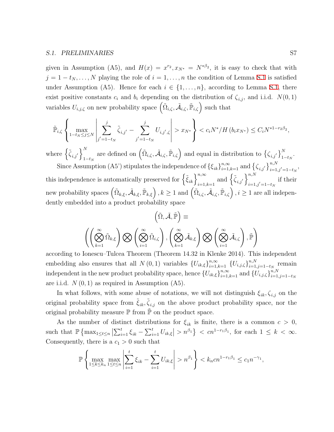given in Assumption (A5), and  $H(x) = x^{r_2}, x_{N^*} = N^{*\beta_2}$ , it is easy to check that with  $j = 1 - t_N, \ldots, N$  playing the role of  $i = 1, \ldots, n$  the condition of Lemma [S.1](#page-0-0) is satisfied under Assumption (A5). Hence for each  $i \in \{1, \ldots, n\}$ , according to Lemma [S.1,](#page-0-0) there exist positive constants  $c_i$  and  $b_i$  depending on the distribution of  $\zeta_{i,j}$ , and i.i.d.  $N(0,1)$ variables  $U_{i,j,\zeta}$  on new probability space  $(\tilde{\Omega}_{i,\zeta}, \tilde{\mathcal{A}}_{i,\zeta}, \tilde{\mathbb{P}}_{i,\zeta})$  such that

$$
\tilde{\mathbb{P}}_{i,\zeta} \left\{ \max_{1-t_N \le j \le N} \left| \sum_{j'=1-t_N}^j \tilde{\zeta}_{i,j'} - \sum_{j'=1-t_N}^j U_{i,j',\zeta} \right| > x_{N^*} \right\} < c_i N^* / H\left(b_i x_{N^*}\right) \le C_i N^{*1-r_2\beta_2},
$$

where  $\left\{ \tilde{\zeta}_{i,j} \right\}_{1}^{N}$ 1*−t<sup>N</sup>* are defined on  $(\tilde{\Omega}_{i,\zeta}, \tilde{\mathcal{A}}_{i,\zeta}, \tilde{\mathbb{P}}_{i,\zeta})$  and equal in distribution to  $\{\zeta_{i,j'}\}_{1-t_N}^N$ . Since Assumption (A5') stipulates the independence of  $\{\xi_{ik}\}_{i=1,k=1}^{n,\infty}$  and  $\{\zeta_{i,j'}\}_{i=1,j'=1-t_N}^{n,N}$ ,

this independence is automatically preserved for  $\left\{ \tilde{\xi}_{ik} \right\}_{i=1,k=1}^{n,\infty}$  and  $\left\{ \tilde{\zeta}_{i,j'} \right\}_{i=1}^{n,N}$ *i*=1*,j′*=1*−t<sup>N</sup>* if their new probability spaces  $(\tilde{\Omega}_{k,\xi},\tilde{\mathcal{A}}_{k,\xi},\tilde{\mathbb{P}}_{k,\xi})$  ,  $k\geq 1$  and  $(\tilde{\Omega}_{i,\zeta},\tilde{\mathcal{A}}_{i,\zeta},\tilde{\mathbb{P}}_{i,\zeta})$  ,  $i\geq 1$  are all independently embedded into a product probability space

$$
\left(\tilde{\Omega}, \tilde{\mathcal{A}}, \tilde{\mathbb{P}}\right) \equiv \left(\left(\bigotimes_{k=1}^{\infty} \tilde{\Omega}_{k,\xi}\right) \bigotimes \left(\bigotimes_{i=1}^{\infty} \tilde{\Omega}_{i,\zeta}\right), \left(\bigotimes_{k=1}^{\infty} \tilde{\mathcal{A}}_{k,\xi}\right) \bigotimes \left(\bigotimes_{i=1}^{\infty} \tilde{\mathcal{A}}_{i,\zeta}\right), \tilde{\mathbb{P}}\right)
$$

according to Ionescu–Tulcea Theorem (Theorem 14.32 in Klenke 2014). This independent embedding also ensures that all *N* (0, 1) variables  $\{U_{ik,\xi}\}_{i=1,k=1}^{n,\infty}$   $\{U_{i,j,\zeta}\}_{i=1}^{n,N}$  $\sum_{i=1,j=1-t_N}^{n,N}$  remain independent in the new product probability space, hence  ${U_{ik,\xi}}_{i=1,k=1}^{n,\infty}$  and  ${U_{i,j,\zeta}}_{i=1}^{n,N}$ *i*=1*,j*=1*−t<sup>N</sup>* are i.i.d.  $N(0, 1)$  as required in Assumption  $(A5)$ .

In what follows, with some abuse of notations, we will not distinguish  $\xi_{ik}$ ,  $\zeta_{i,j}$  on the original probability space from  $\tilde{\xi}_{ik}$ ,  $\tilde{\zeta}_{i,j}$  on the above product probability space, nor the original probability measure  $\mathbb P$  from  $\mathbb P$  on the product space.

As the number of distinct distributions for  $\xi_{ik}$  is finite, there is a common  $c > 0$ , such that  $\mathbb{P}\left\{\max_{1\leq t\leq n} \left|\sum_{i=1}^t \xi_{ik} - \sum_{i=1}^t U_{ik,\xi}\right| > n^{\beta_1}\right\} < cn^{1-r_1\beta_1}$ , for each  $1 \leq k < \infty$ . Consequently, there is a  $c_1 > 0$  such that

$$
\mathbb{P}\left\{\max_{1\leq k\leq k_n}\max_{1\leq t\leq n}\left|\sum_{i=1}^t \xi_{ik} - \sum_{i=1}^t U_{ik,\xi}\right| > n^{\beta_1}\right\} < k_n c n^{1-r_1\beta_1} \leq c_1 n^{-\gamma_1},
$$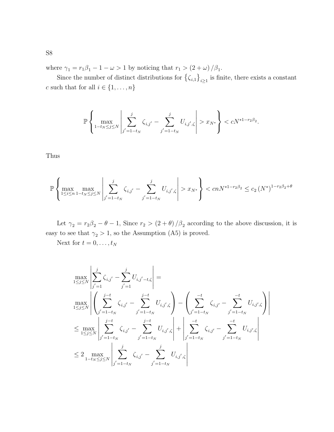where  $\gamma_1 = r_1 \beta_1 - 1 - \omega > 1$  by noticing that  $r_1 > (2 + \omega) / \beta_1$ .

Since the number of distinct distributions for  $\{\zeta_{i,1}\}_{i\geq 1}$  is finite, there exists a constant *c* such that for all  $i \in \{1, \ldots, n\}$ 

$$
\mathbb{P}\left\{\max_{1-t_N\leq j\leq N}\left|\sum_{j'=1-t_N}^j\zeta_{i,j'}-\sum_{j'=1-t_N}^jU_{i,j',\zeta}\right|>x_{N^*}\right\}
$$

Thus

$$
\mathbb{P}\left\{\max_{1\leq i\leq n}\max_{1-t_N\leq j\leq N}\left|\sum_{j'=1-t_N}^j\zeta_{i,j'}-\sum_{j'=1-t_N}^jU_{i,j',\zeta}\right|>x_{N^*}\right\}
$$

Let  $\gamma_2 = r_2\beta_2 - \theta - 1$ , Since  $r_2 > (2 + \theta)/\beta_2$  according to the above discussion, it is easy to see that  $\gamma_2 > 1$ , so the Assumption (A5) is proved.

Next for  $t = 0, \ldots, t_N$ 

$$
\max_{1 \leq j \leq N} \left| \sum_{j'=1}^{j} \zeta_{i,j'} - \sum_{j'=1}^{j} U_{i,j'-t,\zeta} \right| =
$$
\n
$$
\max_{1 \leq j \leq N} \left| \left( \sum_{j'=1-t_N}^{j-t} \zeta_{i,j'} - \sum_{j'=1-t_N}^{j-t} U_{i,j',\zeta} \right) - \left( \sum_{j'=1-t_N}^{-t} \zeta_{i,j'} - \sum_{j'=1-t_N}^{-t} U_{i,j',\zeta} \right) \right|
$$
\n
$$
\leq \max_{1 \leq j \leq N} \left| \sum_{j'=1-t_N}^{j-t} \zeta_{i,j'} - \sum_{j'=1-t_N}^{j-t} U_{i,j',\zeta} \right| + \left| \sum_{j'=1-t_N}^{-t} \zeta_{i,j'} - \sum_{j'=1-t_N}^{-t} U_{i,j',\zeta} \right|
$$
\n
$$
\leq 2 \max_{1-t_N \leq j \leq N} \left| \sum_{j'=1-t_N}^{j} \zeta_{i,j'} - \sum_{j'=1-t_N}^{j} U_{i,j',\zeta} \right|
$$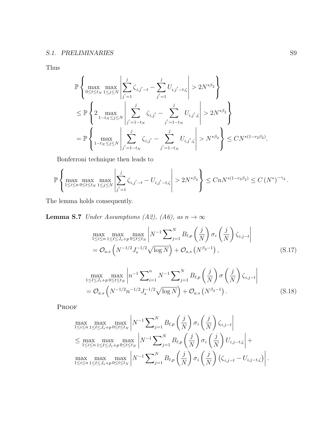Thus

$$
\mathbb{P}\left\{\max_{0\leq t\leq t_N}\max_{1\leq j\leq N}\left|\sum_{j'=1}^j\zeta_{i,j'-t}-\sum_{j'=1}^jU_{i,j'-t,\zeta}\right|>2N^{*\beta_2}\right\}
$$
\n
$$
\leq \mathbb{P}\left\{2\max_{1-t_N\leq j\leq N}\left|\sum_{j'=1-t_N}^j\zeta_{i,j'}-\sum_{j'=1-t_N}^jU_{i,j',\zeta}\right|>2N^{*\beta_2}\right\}
$$
\n
$$
=\mathbb{P}\left\{\max_{1-t_N\leq j\leq N}\left|\sum_{j'=1-t_N}^j\zeta_{i,j'}-\sum_{j'=1-t_N}^jU_{i,j',\zeta}\right|>N^{*\beta_2}\right\}\leq CN^{*(1-r_2\beta_2)}.
$$

Bonferroni technique then leads to

$$
\mathbb{P}\left\{\max_{1\leq i\leq n}\max_{0\leq t\leq t_N}\max_{1\leq j\leq N}\left|\sum_{j'=1}^j\zeta_{i,j'-t}-U_{i,j'-t,\zeta}\right|>2N^{*\beta_2}\right\}\leq CnN^{*(1-r_2\beta_2)}\leq C\left(N^*\right)^{-\gamma_2}.
$$

<span id="page-8-2"></span>The lemma holds consequently.

**Lemma S.7** *Under Assumptions (A2), (A6), as*  $n \to \infty$ 

<span id="page-8-0"></span>
$$
\max_{1 \le i \le n} \max_{1 \le \ell \le J_s + p} \max_{0 \le t \le t_N} \left| N^{-1} \sum_{j=1}^N B_{\ell, p} \left( \frac{j}{N} \right) \sigma_i \left( \frac{j}{N} \right) \zeta_{i, j-t} \right|
$$
\n
$$
= O_{a.s} \left( N^{-1/2} J_s^{-1/2} \sqrt{\log N} \right) + O_{a.s} \left( N^{\beta_2 - 1} \right), \tag{S.17}
$$

<span id="page-8-1"></span>
$$
\max_{1 \leq \ell \leq J_s + p} \max_{0 \leq t \leq t_N} \left| n^{-1} \sum_{i=1}^n N^{-1} \sum_{j=1}^N B_{\ell, p} \left( \frac{j}{N} \right) \sigma \left( \frac{j}{N} \right) \zeta_{i, j-t} \right|
$$
\n
$$
= \mathcal{O}_{a.s} \left( N^{-1/2} n^{-1/2} J_s^{-1/2} \sqrt{\log N} \right) + \mathcal{O}_{a.s} \left( N^{\beta_2 - 1} \right). \tag{S.18}
$$

PROOF

$$
\max_{1 \le i \le n} \max_{1 \le \ell \le J_s + p} \max_{0 \le t \le t_N} \left| N^{-1} \sum_{j=1}^N B_{\ell, p} \left( \frac{j}{N} \right) \sigma_i \left( \frac{j}{N} \right) \zeta_{i, j-t} \right|
$$
\n
$$
\le \max_{1 \le i \le n} \max_{1 \le \ell \le J_s + p} \max_{0 \le t \le t_N} \left| N^{-1} \sum_{j=1}^N B_{\ell, p} \left( \frac{j}{N} \right) \sigma_i \left( \frac{j}{N} \right) U_{i, j-t, \zeta} \right| + \max_{1 \le i \le n} \max_{1 \le \ell \le J_s + p} \max_{0 \le t \le t_N} \left| N^{-1} \sum_{j=1}^N B_{\ell, p} \left( \frac{j}{N} \right) \sigma_i \left( \frac{j}{N} \right) (\zeta_{i, j-t} - U_{i, j-t, \zeta}) \right|.
$$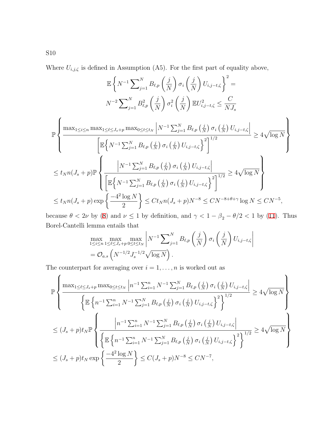Where  $U_{i,j,\zeta}$  is defined in Assumption (A5). For the first part of equality above,

$$
\mathbb{E}\left\{N^{-1}\sum_{j=1}^{N}B_{\ell,p}\left(\frac{j}{N}\right)\sigma_{i}\left(\frac{j}{N}\right)U_{i,j-t,\zeta}\right\}^{2} = N^{-2}\sum_{j=1}^{N}B_{\ell,p}^{2}\left(\frac{j}{N}\right)\sigma_{i}^{2}\left(\frac{j}{N}\right)\mathbb{E}U_{i,j-t,\zeta}^{2} \leq \frac{C}{NJ_{s}}
$$
\n
$$
\mathbb{P}\left\{\frac{\max_{1\leq i\leq n}\max_{1\leq \ell\leq J_{s}+p}\max_{0\leq t\leq t_{N}}\left|N^{-1}\sum_{j=1}^{N}B_{\ell,p}\left(\frac{j}{N}\right)\sigma_{i}\left(\frac{j}{N}\right)U_{i,j-t,\zeta}\right|}{\left[\mathbb{E}\left\{N^{-1}\sum_{j=1}^{N}B_{\ell,p}\left(\frac{j}{N}\right)\sigma_{i}\left(\frac{j}{N}\right)U_{i,j-t,\zeta}\right\}^{2}\right]^{1/2}} \geq 4\sqrt{\log N}\right\}
$$
\n
$$
\leq t_{N}n(J_{s}+p)\mathbb{P}\left\{\frac{\left|N^{-1}\sum_{j=1}^{N}B_{\ell,p}\left(\frac{j}{N}\right)\sigma_{i}\left(\frac{j}{N}\right)U_{i,j-t,\zeta}\right|}{\left[\mathbb{E}\left\{N^{-1}\sum_{j=1}^{N}B_{\ell,p}\left(\frac{j}{N}\right)\sigma_{i}\left(\frac{j}{N}\right)U_{i,j-t,\zeta}\right\}^{2}\right]^{1/2}} \geq 4\sqrt{\log N}\right\}
$$
\n
$$
\leq t_{N}n(J_{s}+p)\exp\left\{\frac{-4^{2}\log N}{2}\right\} \leq Ct_{N}n(J_{s}+p)N^{-8} \leq CN^{-8+\theta+\gamma}\log N \leq CN^{-5},
$$

because  $\theta$  < 2*ν* by (8) and  $\nu \le 1$  by definition, and  $\gamma$  < 1 -  $\beta_2$  -  $\theta/2$  < 1 by (11). Thus Borel-Cantelli lemma entails that

$$
\max_{1 \leq i \leq n} \max_{1 \leq \ell \leq J_s + p} \max_{0 \leq t \leq t_N} \left| N^{-1} \sum_{j=1}^N B_{\ell, p} \left( \frac{j}{N} \right) \sigma_i \left( \frac{j}{N} \right) U_{i, j-t, \zeta} \right|
$$
  
=  $\mathcal{O}_{a.s} \left( N^{-1/2} J_s^{-1/2} \sqrt{\log N} \right).$ 

The counterpart for averaging over  $i = 1, \ldots, n$  is worked out as

$$
\mathbb{P}\left\{\frac{\max_{1\leq\ell\leq J_{s}+p}\max_{0\leq t\leq t_{N}}\left|n^{-1}\sum_{i=1}^{n}N^{-1}\sum_{j=1}^{N}B_{\ell,p}\left(\frac{j}{N}\right)\sigma_{i}\left(\frac{j}{N}\right)U_{i,j-t,\zeta}\right|}{\left\{\mathbb{E}\left\{n^{-1}\sum_{i=1}^{n}N^{-1}\sum_{j=1}^{N}B_{\ell,p}\left(\frac{j}{N}\right)\sigma_{i}\left(\frac{j}{N}\right)U_{i,j-t,\zeta}\right\}^{2}\right\}^{1/2}} \geq 4\sqrt{\log N}\right\}
$$
\n
$$
\leq (J_{s}+p)t_{N}\mathbb{P}\left\{\frac\left|n^{-1}\sum_{i=1}^{n}N^{-1}\sum_{j=1}^{N}B_{\ell,p}\left(\frac{j}{N}\right)\sigma_{i}\left(\frac{j}{N}\right)U_{i,j-t,\zeta}\right|}{\left\{\mathbb{E}\left\{n^{-1}\sum_{i=1}^{n}N^{-1}\sum_{j=1}^{N}B_{\ell,p}\left(\frac{j}{N}\right)\sigma_{i}\left(\frac{j}{N}\right)U_{i,j-t,\zeta}\right\}^{2}\right\}^{1/2}} \geq 4\sqrt{\log N}\right\}
$$
\n
$$
\leq (J_{s}+p)t_{N}\exp\left\{\frac{-4^{2}\log N}{2}\right\} \leq C(J_{s}+p)N^{-8} \leq CN^{-7},
$$

 $\rm S10$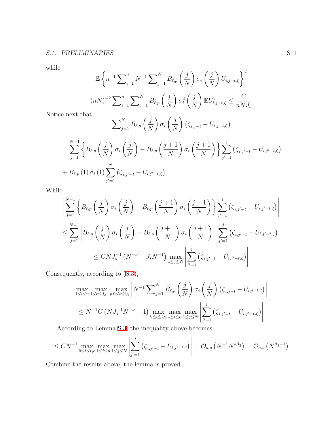while

$$
\mathbb{E}\left\{n^{-1}\sum_{i=1}^{n}N^{-1}\sum_{j=1}^{N}B_{\ell,p}\left(\frac{j}{N}\right)\sigma_{i}\left(\frac{j}{N}\right)U_{i,j-t,\zeta}\right\}^{2}
$$

$$
(nN)^{-2}\sum_{i=1}^{n}\sum_{j=1}^{N}B_{\ell,p}^{2}\left(\frac{j}{N}\right)\sigma_{i}^{2}\left(\frac{j}{N}\right)\mathbb{E}U_{i,j-t,\zeta}^{2}\leq\frac{C}{nNJ_{s}}
$$

Notice next that

$$
\sum_{j=1}^{N} B_{\ell,p} \left( \frac{j}{N} \right) \sigma_i \left( \frac{j}{N} \right) \left( \zeta_{i,j-t} - U_{i,j-t,\zeta} \right)
$$

$$
= \sum_{j=1}^{N-1} \left\{ B_{\ell,p} \left( \frac{j}{N} \right) \sigma_i \left( \frac{j}{N} \right) - B_{\ell,p} \left( \frac{j+1}{N} \right) \sigma_i \left( \frac{j+1}{N} \right) \right\} \sum_{j'=1}^{j} \left( \zeta_{i,j'-t} - U_{i,j'-t,\zeta} \right) + B_{\ell,p} (1) \sigma_i (1) \sum_{j'=1}^{N} \left( \zeta_{i,j'-t} - U_{i,j'-t,\zeta} \right)
$$

While

$$
\left| \sum_{j=1}^{N-1} \left\{ B_{\ell,p} \left( \frac{j}{N} \right) \sigma_i \left( \frac{j}{N} \right) - B_{\ell,p} \left( \frac{j+1}{N} \right) \sigma_i \left( \frac{j+1}{N} \right) \right\} \sum_{j'=1}^j \left( \zeta_{i,j'-t} - U_{i,j'-t,\zeta} \right) \right|
$$
  

$$
\leq \sum_{j=1}^{N-1} \left| B_{\ell,p} \left( \frac{j}{N} \right) \sigma_i \left( \frac{j}{N} \right) - B_{\ell,p} \left( \frac{j+1}{N} \right) \sigma_i \left( \frac{j+1}{N} \right) \right| \left| \sum_{j'=1}^j \left( \zeta_{i,j'-t} - U_{i,j'-t,\zeta} \right) \right|
$$
  

$$
\leq C N J_s^{-1} \left( N^{-\nu} + J_s N^{-1} \right) \max_{1 \leq j \leq N} \left| \sum_{j'=1}^j \left( \zeta_{i,j'-t} - U_{i,j'-t,\zeta} \right) \right|
$$

Consequently, according to [\(S.3\)](#page-1-2),

$$
\max_{1 \le i \le n} \max_{1 \le \ell \le J_s + p} \max_{0 \le t \le t_N} \left| N^{-1} \sum_{j=1}^N B_{\ell, p} \left( \frac{j}{N} \right) \sigma_i \left( \frac{j}{N} \right) \left( \zeta_{i, j-t} - U_{i, j-t, \zeta} \right) \right|
$$
  
 
$$
\le N^{-1} C \left( N J_s^{-1} N^{-\nu} + 1 \right) \max_{0 \le t \le t_N} \max_{1 \le i \le n} \max_{1 \le j \le N} \left| \sum_{j'=1}^j \left( \zeta_{i, j'-t} - U_{i, j'-t, \zeta} \right) \right|
$$

According to Lemma [S.3,](#page-1-4) the inequality above becomes

$$
\leq CN^{-1} \max_{0 \leq t \leq t_N} \max_{1 \leq i \leq n} \max_{1 \leq j \leq N} \left| \sum_{j'=1}^{j} \left( \zeta_{i,j'-t} - U_{i,j'-t,\zeta} \right) \right| = O_{a.s} \left( N^{-1} N^{*\beta_2} \right) = O_{a.s} \left( N^{\beta_2 - 1} \right)
$$

<span id="page-10-0"></span>Combine the results above, the lemma is proved.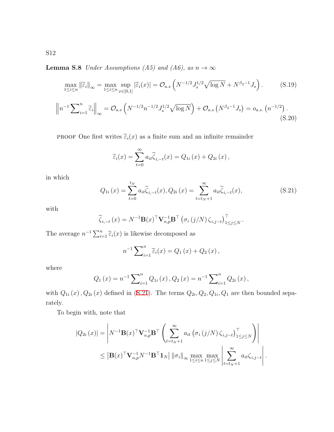**Lemma S.8** *Under Assumptions (A5) and (A6), as*  $n \to \infty$ 

$$
\max_{1 \le i \le n} \|\widetilde{\varepsilon}_i\|_{\infty} = \max_{1 \le i \le n} \sup_{x \in [0,1]} |\widetilde{\varepsilon}_i(x)| = O_{a.s}\left(N^{-1/2}J_s^{1/2}\sqrt{\log N} + N^{\beta_2 - 1}J_s\right). \tag{S.19}
$$

<span id="page-11-1"></span>
$$
\left\| n^{-1} \sum_{i=1}^{n} \widetilde{\varepsilon}_{i} \right\|_{\infty} = \mathcal{O}_{a.s} \left( N^{-1/2} n^{-1/2} J_{s}^{1/2} \sqrt{\log N} \right) + \mathcal{O}_{a.s} \left( N^{\beta_{2}-1} J_{s} \right) = o_{a.s.} \left( n^{-1/2} \right). \tag{S.20}
$$

**PROOF** One first writes  $\tilde{\varepsilon}_i(x)$  as a finite sum and an infinite remainder

$$
\widetilde{\varepsilon}_i(x) = \sum_{t=0}^{\infty} a_{it} \widetilde{\zeta}_{i,-t}(x) = Q_{1i}(x) + Q_{2i}(x),
$$

in which

<span id="page-11-0"></span>
$$
Q_{1i}(x) = \sum_{t=0}^{t_N} a_{it} \widetilde{\zeta}_{i,-t}(x), Q_{2i}(x) = \sum_{t=t_N+1}^{\infty} a_{it} \widetilde{\zeta}_{i,-t}(x),
$$
\n(S.21)

with

$$
\widetilde{\zeta}_{i,-t}(x) = N^{-1} \mathbf{B}(x)^{\top} \mathbf{V}_{n,p}^{-1} \mathbf{B}^{\top} \left( \sigma_i \left( j/N \right) \zeta_{i,j-t} \right)_{1 \leq j \leq N}^{\top}.
$$

The average  $n^{-1} \sum_{i=1}^{n} \tilde{\varepsilon}_i(x)$  is likewise decomposed as

$$
n^{-1}\sum_{i=1}^{n}\widetilde{\varepsilon}_{i}(x)=Q_{1}(x)+Q_{2}(x),
$$

where

$$
Q_1(x) = n^{-1} \sum_{i=1}^{n} Q_{1i}(x), Q_2(x) = n^{-1} \sum_{i=1}^{n} Q_{2i}(x),
$$

with  $Q_{1i}(x)$ ,  $Q_{2i}(x)$  defined in [\(S.21\)](#page-11-0). The terms  $Q_{2i}$ ,  $Q_2$ ,  $Q_{1i}$ ,  $Q_1$  are then bounded separately.

To begin with, note that

$$
|Q_{2i}(x)| = \left| N^{-1} \mathbf{B}(x)^{\top} \mathbf{V}_{n,p}^{-1} \mathbf{B}^{\top} \left( \sum_{t=t_N+1}^{\infty} a_{it} \left( \sigma_i \left( j/N \right) \zeta_{i,j-t} \right)_{1 \leq j \leq N}^{\top} \right) \right|
$$
  
 
$$
\leq \left| \mathbf{B}(x)^{\top} \mathbf{V}_{n,p}^{-1} N^{-1} \mathbf{B}^{\top} \mathbf{1}_N \right| ||\sigma_i||_{\infty} \max_{1 \leq i \leq n} \max_{1 \leq j \leq N} \left| \sum_{t=t_N+1}^{\infty} a_{it} \zeta_{i,j-t} \right|.
$$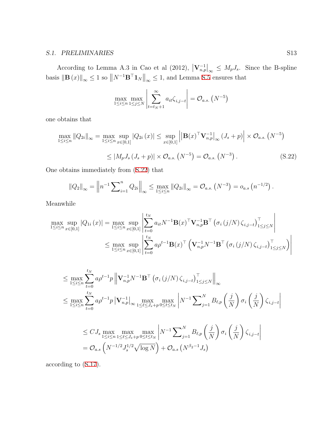According to Lemma A.3 in Cao et al (2012),  $|\mathbf{V}_{n,p}^{-1}|_{\infty} \leq M_p J_s$ . Since the B-spline basis  $||\mathbf{B}(x)||_{\infty} \leq 1$  so  $||N^{-1}\mathbf{B}^{\top}\mathbf{1}_N||_{\infty} \leq 1$ , and Lemma [S.5](#page-4-1) ensures that

$$
\max_{1 \leq i \leq n} \max_{1 \leq j \leq N} \left| \sum_{t=t_N+1}^{\infty} a_{it} \zeta_{i,j-t} \right| = O_{a.s.} \left( N^{-5} \right)
$$

one obtains that

$$
\max_{1 \le i \le n} \|Q_{2i}\|_{\infty} = \max_{1 \le i \le n} \sup_{x \in [0,1]} |Q_{2i}(x)| \le \sup_{x \in [0,1]} \left| |\mathbf{B}(x)^{\top} \mathbf{V}_{n,p}^{-1}|_{\infty} (J_s + p) \right| \times \mathcal{O}_{a.s.} (N^{-5})
$$
  

$$
\le |M_p J_s (J_s + p)| \times \mathcal{O}_{a.s.} (N^{-5}) = \mathcal{O}_{a.s.} (N^{-3}). \tag{S.22}
$$

One obtains immediately from ([S.22](#page-12-0)) that

<span id="page-12-0"></span>
$$
||Q_2||_{\infty} = ||n^{-1} \sum_{i=1}^n Q_{2i}||_{\infty} \le \max_{1 \le i \le n} ||Q_{2i}||_{\infty} = O_{a.s.} (N^{-3}) = o_{a.s.} (n^{-1/2}).
$$

Meanwhile

$$
\max_{1 \leq i \leq n} \sup_{x \in [0,1]} |Q_{1i}(x)| = \max_{1 \leq i \leq n} \sup_{x \in [0,1]} \left| \sum_{t=0}^{t_N} a_{it} N^{-1} \mathbf{B}(x)^\top \mathbf{V}_{n,p}^{-1} \mathbf{B}^\top (\sigma_i (j/N) \zeta_{i,j-t})_{1 \leq j \leq N}^\top \right|
$$
  

$$
\leq \max_{1 \leq i \leq n} \sup_{x \in [0,1]} \left| \sum_{t=0}^{t_N} a \rho^{t-1} \mathbf{B}(x)^\top \left( \mathbf{V}_{n,p}^{-1} N^{-1} \mathbf{B}^\top (\sigma_i (j/N) \zeta_{i,j-t})_{1 \leq j \leq N}^\top \right) \right|
$$

$$
\leq \max_{1 \leq i \leq n} \sum_{t=0}^{t_N} a \rho^{t-1} p \left\| \mathbf{V}_{n,p}^{-1} N^{-1} \mathbf{B}^\top \left( \sigma_i \left( j/N \right) \zeta_{i,j-t} \right) \right\|_{\leq j \leq N} \right\|_{\infty}
$$
\n
$$
\leq \max_{1 \leq i \leq n} \sum_{t=0}^{t_N} a \rho^{t-1} p \left\| \mathbf{V}_{n,p}^{-1} \right\|_{\infty} \max_{1 \leq \ell \leq J_s + p} \max_{0 \leq t \leq t_N} \left| N^{-1} \sum_{j=1}^N B_{\ell,p} \left( \frac{j}{N} \right) \sigma_i \left( \frac{j}{N} \right) \zeta_{i,j-t} \right|
$$
\n
$$
\leq C J_s \max_{1 \leq i \leq n} \max_{1 \leq \ell \leq J_s + p} \max_{0 \leq t \leq t_N} \left| N^{-1} \sum_{j=1}^N B_{\ell,p} \left( \frac{j}{N} \right) \sigma_i \left( \frac{j}{N} \right) \zeta_{i,j-t} \right|
$$
\n
$$
= \mathcal{O}_{a.s} \left( N^{-1/2} J_s^{1/2} \sqrt{\log N} \right) + \mathcal{O}_{a.s} \left( N^{\beta_2 - 1} J_s \right)
$$

according to [\(S.17\)](#page-8-0).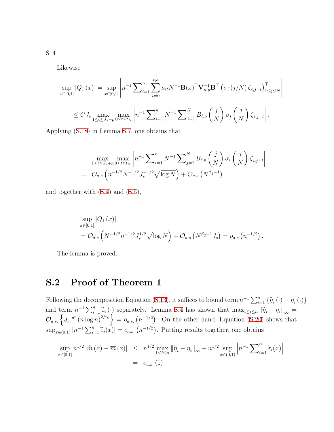Likewise

$$
\sup_{x \in [0,1]} |Q_1(x)| = \sup_{x \in [0,1]} \left| n^{-1} \sum_{i=1}^n \sum_{t=0}^{t_N} a_{it} N^{-1} \mathbf{B}(x)^\top \mathbf{V}_{n,p}^{-1} \mathbf{B}^\top \left( \sigma_i \left( j/N \right) \zeta_{i,j-t} \right)^\top_{1 \le j \le N} \right|
$$
  

$$
\le C J_s \max_{1 \le \ell \le J_s + p} \max_{0 \le t \le t_N} \left| n^{-1} \sum_{i=1}^n N^{-1} \sum_{j=1}^N B_{\ell,p} \left( \frac{j}{N} \right) \sigma_i \left( \frac{j}{N} \right) \zeta_{i,j-t} \right|.
$$

Applying [\(S.18\)](#page-8-1) in Lemma [S.7](#page-8-2), one obtains that

$$
\max_{1 \leq \ell \leq J_s + p} \max_{0 \leq t \leq t_N} \left| n^{-1} \sum_{i=1}^n N^{-1} \sum_{j=1}^N B_{\ell, p} \left( \frac{j}{N} \right) \sigma_i \left( \frac{j}{N} \right) \zeta_{i, j-t} \right|
$$
  
=  $\mathcal{O}_{a.s} \left( n^{-1/2} N^{-1/2} J_s^{-1/2} \sqrt{\log N} \right) + \mathcal{O}_{a.s} \left( N^{\beta_2 - 1} \right)$ 

and together with [\(S.4\)](#page-1-5) and [\(S.5](#page-1-3)),

$$
\sup_{x \in [0,1]} |Q_1(x)|
$$
  
=  $\mathcal{O}_{a.s} \left( N^{-1/2} n^{-1/2} J_s^{1/2} \sqrt{\log N} \right) + \mathcal{O}_{a.s} \left( N^{\beta_2 - 1} J_s \right) = o_{a.s} \left( n^{-1/2} \right).$ 

The lemma is proved.

## **S.2 Proof of Theorem 1**

Following the decomposition Equation ([S.13](#page-3-0)), it suffices to bound term  $n^{-1} \sum_{i=1}^{n} {\hat{\eta}_i (\cdot) - \eta_i (\cdot)}$ and term  $n^{-1} \sum_{i=1}^{n} \tilde{\epsilon}_i(\cdot)$  separately. Lemma [S.4](#page-3-1) has shown that  $\max_{1 \leq i \leq n} ||\tilde{\eta}_i - \eta_i||_{\infty} =$  $\mathcal{O}_{a.s.} \left\{ J_s^{-p^*} (n \log n)^{2/r_0} \right\} = o_{a.s.} (n^{-1/2})$ . On the other hand, Equation ([S.20](#page-11-1)) shows that  $\sup_{x \in (0,1)} |n^{-1} \sum_{i=1}^n \widetilde{\varepsilon}_i(x)| = o_{a.s.} (n^{-1/2})$ . Putting results together, one obtains

$$
\sup_{x \in [0,1]} n^{1/2} |\widehat{m}(x) - \overline{m}(x)| \leq n^{1/2} \max_{1 \leq i \leq n} ||\widetilde{\eta}_i - \eta_i||_{\infty} + n^{1/2} \sup_{x \in (0,1)} \left| n^{-1} \sum_{i=1}^n \widetilde{\varepsilon}_i(x) \right|
$$
  
=  $o_{a.s.}(1).$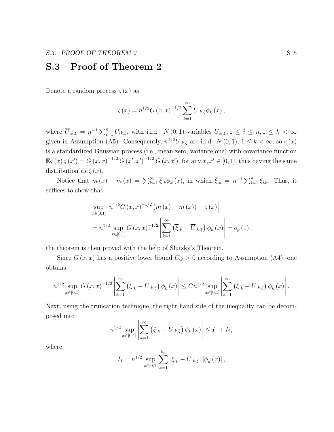## **S.3 Proof of Theorem 2**

Denote a random process  $\zeta(x)$  as

$$
\varsigma(x) = n^{1/2} G(x, x)^{-1/2} \sum_{k=1}^{\infty} \overline{U}_{k, \xi} \phi_k(x),
$$

where  $\overline{U}_{k,\xi} = n^{-1} \sum_{i=1}^n U_{ik,\xi}$ , with i.i.d.  $N(0,1)$  variables  $U_{ik,\xi}, 1 \leq i \leq n, 1 \leq k < \infty$ given in Assumption (A5). Consequently,  $n^{1/2}\overline{U}_{k,\xi}$  are i.i.d.  $N(0,1), 1 \leq k < \infty$ , so  $\varsigma(x)$ is a standardized Gaussian process (i.e., mean zero, variance one) with covariance function  $\mathbb{E} \varsigma (x) \varsigma (x') = G(x, x)^{-1/2} G(x', x')^{-1/2} G(x, x')$ , for any  $x, x' \in [0, 1]$ , thus having the same distribution as  $\zeta(x)$ .

Notice that  $\overline{m}(x) - m(x) = \sum_{k=1}^{\infty} \overline{\xi}_k \phi_k(x)$ , in which  $\overline{\xi}_k = n^{-1} \sum_{i=1}^n \xi_{ik}$ . Thus, it suffices to show that

$$
\sup_{x \in [0,1]} \left| n^{1/2} G(x,x)^{-1/2} (\overline{m}(x) - m(x)) - \varsigma(x) \right|
$$
  
=  $n^{1/2} \sup_{x \in [0,1]} G(x,x)^{-1/2} \left| \sum_{k=1}^{\infty} (\overline{\xi}_k - \overline{U}_{k,\xi}) \phi_k(x) \right| = o_p(1),$ 

the theorem is then proved with the help of Slutsky's Theorem.

Since  $G(x, x)$  has a positive lower bound  $C_G > 0$  according to Assumption (A4), one obtains

$$
n^{1/2} \sup_{x \in [0,1]} G(x,x)^{-1/2} \left| \sum_{k=1}^{\infty} \left( \overline{\xi}_{.k} - \overline{U}_{.k,\xi} \right) \phi_k(x) \right| \leq C n^{1/2} \sup_{x \in [0,1]} \left| \sum_{k=1}^{\infty} \left( \overline{\xi}_{.k} - \overline{U}_{.k,\xi} \right) \phi_k(x) \right|.
$$

Next, using the truncation technique, the right hand side of the inequality can be decomposed into

$$
n^{1/2} \sup_{x \in [0,1]} \left| \sum_{k=1}^{\infty} \left( \overline{\xi}_{.k} - \overline{U}_{.k,\xi} \right) \phi_k(x) \right| \le I_1 + I_2,
$$

where

$$
I_1 = n^{1/2} \sup_{x \in [0,1]} \sum_{k=1}^{k_n} |\bar{\xi}_{.k} - \overline{U}_{.k,\xi}| |\phi_k(x)|,
$$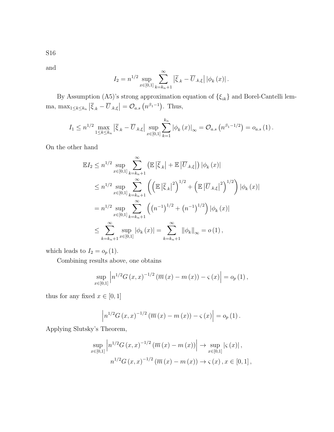S16

and

$$
I_2 = n^{1/2} \sup_{x \in [0,1]} \sum_{k=k_n+1}^{\infty} |\bar{\xi}_{.k} - \overline{U}_{.k,\xi}| |\phi_k(x)|.
$$

By Assumption (A5)'s strong approximation equation of *{ξik}* and Borel-Cantelli lemma, max<sub>1≤k≤kn</sub>  $|\overline{\xi}_{.k} - \overline{U}_{.k,\xi}| = O_{a.s} (n^{\beta_1 - 1})$ . Thus,

$$
I_1 \leq n^{1/2} \max_{1 \leq k \leq k_n} |\bar{\xi}_{.k} - \overline{U}_{.k,\xi}| \sup_{x \in [0,1]} \sum_{k=1}^{k_n} |\phi_k(x)|_{\infty} = O_{a.s.}(n^{\beta_1 - 1/2}) = o_{a.s.}(1).
$$

On the other hand

$$
\mathbb{E}I_{2} \leq n^{1/2} \sup_{x \in [0,1]} \sum_{k=k_{n}+1}^{\infty} \left( \mathbb{E} \left| \overline{\xi}_{.k} \right| + \mathbb{E} \left| \overline{U}_{.k,\xi} \right| \right) |\phi_{k}(x)|
$$
\n
$$
\leq n^{1/2} \sup_{x \in [0,1]} \sum_{k=k_{n}+1}^{\infty} \left( \left( \mathbb{E} \left| \overline{\xi}_{.k} \right|^{2} \right)^{1/2} + \left( \mathbb{E} \left| \overline{U}_{.k,\xi} \right|^{2} \right)^{1/2} \right) |\phi_{k}(x)|
$$
\n
$$
= n^{1/2} \sup_{x \in [0,1]} \sum_{k=k_{n}+1}^{\infty} \left( \left( n^{-1} \right)^{1/2} + \left( n^{-1} \right)^{1/2} \right) |\phi_{k}(x)|
$$
\n
$$
\leq \sum_{k=k_{n}+1}^{\infty} \sup_{x \in [0,1]} |\phi_{k}(x)| = \sum_{k=k_{n}+1}^{\infty} ||\phi_{k}||_{\infty} = o(1),
$$

which leads to  $I_2 = o_p(1)$ .

Combining results above, one obtains

$$
\sup_{x \in [0,1]} \left| n^{1/2} G(x,x)^{-1/2} \left( \overline{m}(x) - m(x) \right) - \varsigma(x) \right| = o_p(1),
$$

thus for any fixed  $x \in [0, 1]$ 

$$
\left| n^{1/2} G(x, x)^{-1/2} (\overline{m}(x) - m(x)) - \varsigma(x) \right| = o_p(1).
$$

Applying Slutsky's Theorem,

$$
\sup_{x \in [0,1]} \left| n^{1/2} G(x,x)^{-1/2} \left( \overline{m}(x) - m(x) \right) \right| \to \sup_{x \in [0,1]} \left| \varsigma(x) \right|,
$$
  

$$
n^{1/2} G(x,x)^{-1/2} \left( \overline{m}(x) - m(x) \right) \to \varsigma(x), x \in [0,1],
$$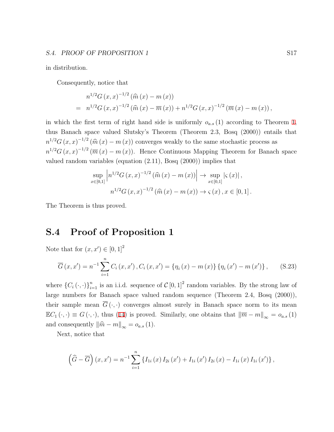#### **S.4. PROOF OF PROPOSITION 1** S17

in distribution.

Consequently, notice that

$$
n^{1/2}G(x,x)^{-1/2}(\widehat{m}(x)-m(x))
$$
  
=  $n^{1/2}G(x,x)^{-1/2}(\widehat{m}(x)-\overline{m}(x))+n^{1/2}G(x,x)^{-1/2}(\overline{m}(x)-m(x)),$ 

in which the first term of right hand side is uniformly  $o_{a.s}(1)$  according to Theorem 1, thus Banach space valued Slutsky's Theorem (Theorem 2.3, Bosq (2000)) entails that  $n^{1/2}G(x, x)^{-1/2}$  ( $\hat{m}(x) - m(x)$ ) converges weakly to the same stochastic process as  $n^{1/2}G(x,x)^{-1/2}(\overline{m}(x)-m(x))$ . Hence Continuous Mapping Theorem for Banach space valued random variables (equation (2.11), Bosq (2000)) implies that

$$
\sup_{x \in [0,1]} \left| n^{1/2} G(x,x)^{-1/2} (\widehat{m}(x) - m(x)) \right| \to \sup_{x \in [0,1]} |\varsigma(x)|,
$$
  

$$
n^{1/2} G(x,x)^{-1/2} (\widehat{m}(x) - m(x)) \to \varsigma(x), x \in [0,1].
$$

The Theorem is thus proved.

## **S.4 Proof of Proposition 1**

Note that for  $(x, x') \in [0, 1]^2$ 

$$
\overline{G}(x, x') = n^{-1} \sum_{i=1}^{n} C_i(x, x'), C_i(x, x') = \{\eta_i(x) - m(x)\} \{\eta_i(x') - m(x')\}, \quad (S.23)
$$

where  $\{C_i(\cdot, \cdot)\}_{i=1}^n$  is an i.i.d. sequence of  $C[0, 1]^2$  random variables. By the strong law of large numbers for Banach space valued random sequence (Theorem 2.4, Bosq (2000)), their sample mean  $\overline{G}(\cdot,\cdot)$  converges almost surely in Banach space norm to its mean  $\mathbb{E}C_1(\cdot, \cdot) \equiv G(\cdot, \cdot)$ , thus (14) is proved. Similarly, one obtains that  $\|\overline{m} - m\|_{\infty} = o_{a.s}(1)$ and consequently  $\|\hat{m} - m\|_{\infty} = o_{a.s}(1)$ .

Next, notice that

$$
\left(\widehat{G}-\overline{G}\right)(x,x')=n^{-1}\sum_{i=1}^{n}\left\{I_{1i}\left(x\right)I_{2i}\left(x'\right)+I_{1i}\left(x'\right)I_{2i}\left(x\right)-I_{1i}\left(x\right)I_{1i}\left(x'\right)\right\},\,
$$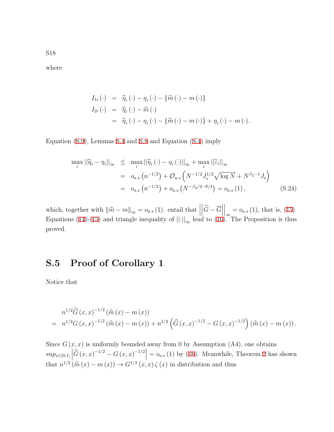where

$$
I_{1i} (\cdot) = \widehat{\eta}_i (\cdot) - \eta_i (\cdot) - \{\widehat{m} (\cdot) - m (\cdot)\}
$$
  
\n
$$
I_{2i} (\cdot) = \widehat{\eta}_i (\cdot) - \widehat{m} (\cdot)
$$
  
\n
$$
= \widehat{\eta}_i (\cdot) - \eta_i (\cdot) - \{\widehat{m} (\cdot) - m (\cdot)\} + \eta_i (\cdot) - m (\cdot).
$$

Equation [\(S.9\)](#page-3-2), Lemmas [S.4](#page-3-1) and [S.8](#page-10-0) and Equation [\(S.4](#page-1-5)) imply

$$
\max_{i} ||\hat{\eta}_{i} - \eta_{i}||_{\infty} \leq \max_{i} ||\tilde{\eta}_{i}(\cdot) - \eta_{i}(\cdot)||_{\infty} + \max_{i} ||\tilde{\varepsilon}_{i}||_{\infty}
$$
  
\n
$$
= o_{a.s} (n^{-1/2}) + O_{a.s} \left( N^{-1/2} J_{s}^{1/2} \sqrt{\log N} + N^{\beta_{2}-1} J_{s} \right)
$$
  
\n
$$
= o_{a.s} (n^{-1/2}) + o_{a.s} (N^{-\beta_{2}/2-\theta/4}) = o_{a.s} (1), \qquad (S.24)
$$

which, together with  $\|\hat{m} - m\|_{\infty} = o_{a.s} (1)$ . entail that  $\|\hat{m} - m\|_{\infty} = o_{a.s} (1)$ .  $\left|\widehat{G}-\overline{G}\right|$  $\Big|_{\infty} = o_{a.s} (1)$ , that is, (15). Equations (14)-(15) and triangle inequality of  $||\cdot||_{\infty}$  lead to (16). The Proposition is thus proved.

## **S.5 Proof of Corollary 1**

Notice that

$$
n^{1/2}\widehat{G}(x,x)^{-1/2}(\widehat{m}(x)-m(x))
$$
  
=  $n^{1/2}G(x,x)^{-1/2}(\widehat{m}(x)-m(x))+n^{1/2}(\widehat{G}(x,x)^{-1/2}-G(x,x)^{-1/2})(\widehat{m}(x)-m(x)).$ 

Since  $G(x, x)$  is uniformly bounded away from 0 by Assumption (A4), one obtains  $sup_{x \in [0,1]} \left| \widehat{G}(x,x)^{-1/2} - G(x,x)^{-1/2} \right| = o_{a.s}(1)$  by (16). Meanwhile, Theorem 2 has shown that  $n^{1/2}$   $(\widehat{m}(x) - m(x)) \rightarrow G^{1/2}(x, x) \zeta(x)$  in distribution and thus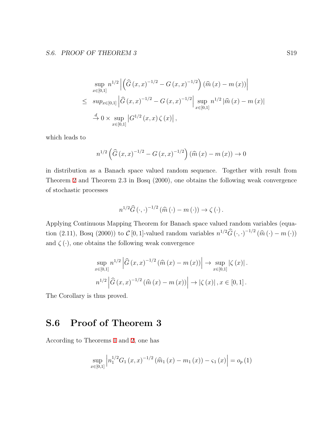$$
\sup_{x \in [0,1]} n^{1/2} \left| \left( \widehat{G}(x,x)^{-1/2} - G(x,x)^{-1/2} \right) (\widehat{m}(x) - m(x)) \right|
$$
  
\n
$$
\leq \sup_{x \in [0,1]} \left| \widehat{G}(x,x)^{-1/2} - G(x,x)^{-1/2} \right| \sup_{x \in [0,1]} n^{1/2} |\widehat{m}(x) - m(x)|
$$
  
\n
$$
\stackrel{d}{\to} 0 \times \sup_{x \in [0,1]} |G^{1/2}(x,x) \zeta(x)|,
$$

which leads to

$$
n^{1/2} \left( \widehat{G}(x,x)^{-1/2} - G(x,x)^{-1/2} \right) (\widehat{m}(x) - m(x)) \to 0
$$

in distribution as a Banach space valued random sequence. Together with result from Theorem 2 and Theorem 2.3 in Bosq (2000), one obtains the following weak convergence of stochastic processes

$$
n^{1/2}\widehat{G}\left(\cdot,\cdot\right)^{-1/2}\left(\widehat{m}\left(\cdot\right)-m\left(\cdot\right)\right)\to\zeta\left(\cdot\right).
$$

Applying Continuous Mapping Theorem for Banach space valued random variables (equation (2.11), Bosq (2000)) to  $C$  [0, 1]-valued random variables  $n^{1/2}\widehat{G}(\cdot,\cdot)^{-1/2}(\widehat{m}(\cdot) - m(\cdot))$ and  $\zeta(\cdot)$ , one obtains the following weak convergence

$$
\sup_{x \in [0,1]} n^{1/2} \left| \hat{G}(x,x)^{-1/2} (\hat{m}(x) - m(x)) \right| \to \sup_{x \in [0,1]} |\zeta(x)|.
$$
  

$$
n^{1/2} \left| \hat{G}(x,x)^{-1/2} (\hat{m}(x) - m(x)) \right| \to |\zeta(x)|, x \in [0,1].
$$

The Corollary is thus proved.

# **S.6 Proof of Theorem 3**

According to Theorems 1 and 2, one has

$$
\sup_{x \in [0,1]} \left| n_1^{1/2} G_1(x,x)^{-1/2} \left( \widehat{m}_1(x) - m_1(x) \right) - \varsigma_1(x) \right| = o_p(1)
$$